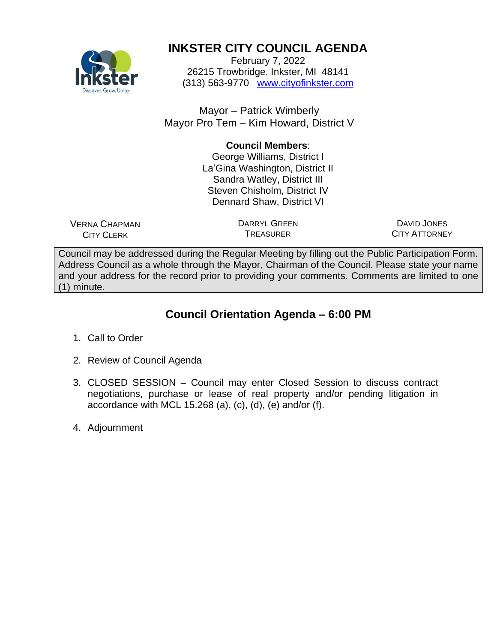

# **INKSTER CITY COUNCIL AGENDA**

February 7, 2022 26215 Trowbridge, Inkster, MI 48141 (313) 563-9770 [www.cityofinkster.com](http://www.cityofinkster.com/)

Mayor – Patrick Wimberly Mayor Pro Tem – Kim Howard, District V

# **Council Members**:

George Williams, District I La'Gina Washington, District II Sandra Watley, District III Steven Chisholm, District IV Dennard Shaw, District VI

VERNA CHAPMAN CITY CLERK

DARRYL GREEN TREASURER

DAVID JONES CITY ATTORNEY

Council may be addressed during the Regular Meeting by filling out the Public Participation Form. Address Council as a whole through the Mayor, Chairman of the Council. Please state your name and your address for the record prior to providing your comments. Comments are limited to one (1) minute.

# **Council Orientation Agenda – 6:00 PM**

- 1. Call to Order
- 2. Review of Council Agenda
- 3. CLOSED SESSION Council may enter Closed Session to discuss contract negotiations, purchase or lease of real property and/or pending litigation in accordance with MCL 15.268 (a), (c), (d), (e) and/or (f).
- 4. Adjournment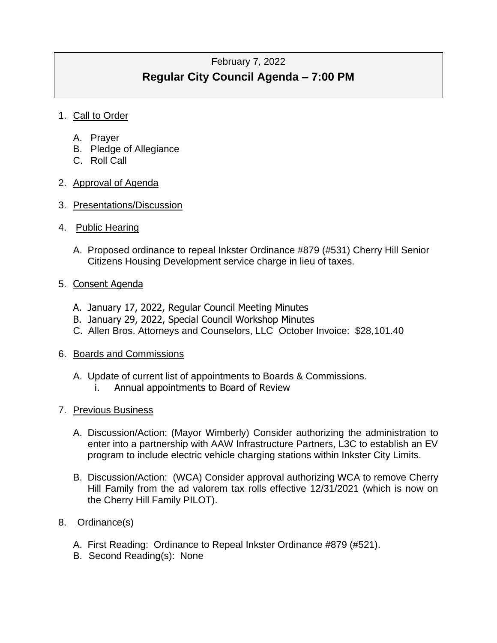# February 7, 2022 **Regular City Council Agenda – 7:00 PM**

# 1. Call to Order

- A. Prayer
- B. Pledge of Allegiance
- C. Roll Call

# 2. Approval of Agenda

- 3. Presentations/Discussion
- 4. Public Hearing
	- A. Proposed ordinance to repeal Inkster Ordinance #879 (#531) Cherry Hill Senior Citizens Housing Development service charge in lieu of taxes.

#### 5. Consent Agenda

- A. January 17, 2022, Regular Council Meeting Minutes
- B. January 29, 2022, Special Council Workshop Minutes
- C. Allen Bros. Attorneys and Counselors, LLC October Invoice: \$28,101.40

# 6. Boards and Commissions

- A. Update of current list of appointments to Boards & Commissions.
	- i. Annual appointments to Board of Review

# 7. Previous Business

- A. Discussion/Action: (Mayor Wimberly) Consider authorizing the administration to enter into a partnership with AAW Infrastructure Partners, L3C to establish an EV program to include electric vehicle charging stations within Inkster City Limits.
- B. Discussion/Action: (WCA) Consider approval authorizing WCA to remove Cherry Hill Family from the ad valorem tax rolls effective 12/31/2021 (which is now on the Cherry Hill Family PILOT).

# 8. Ordinance(s)

- A. First Reading: Ordinance to Repeal Inkster Ordinance #879 (#521).
- B. Second Reading(s): None